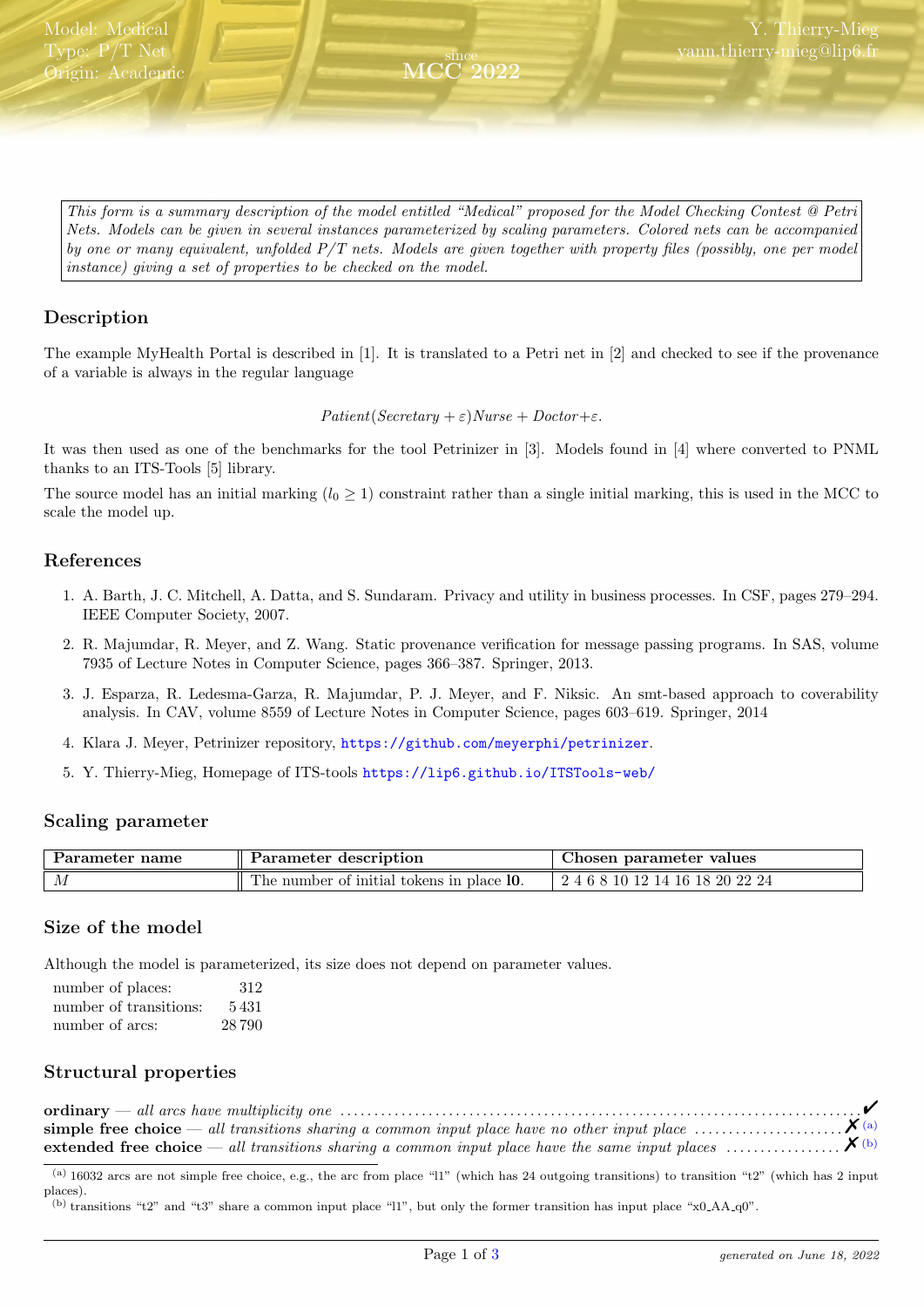<span id="page-0-2"></span>This form is a summary description of the model entitled "Medical" proposed for the Model Checking Contest @ Petri Nets. Models can be given in several instances parameterized by scaling parameters. Colored nets can be accompanied by one or many equivalent, unfolded  $P/T$  nets. Models are given together with property files (possibly, one per model instance) giving a set of properties to be checked on the model.

since MCC 2022

## Description

The example MyHealth Portal is described in [1]. It is translated to a Petri net in [2] and checked to see if the provenance of a variable is always in the regular language

Patient(Secretary +  $\varepsilon$ )Nurse + Doctor+ $\varepsilon$ .

It was then used as one of the benchmarks for the tool Petrinizer in [3]. Models found in [4] where converted to PNML thanks to an ITS-Tools [5] library.

The source model has an initial marking  $(l_0 \geq 1)$  constraint rather than a single initial marking, this is used in the MCC to scale the model up.

### References

- 1. A. Barth, J. C. Mitchell, A. Datta, and S. Sundaram. Privacy and utility in business processes. In CSF, pages 279–294. IEEE Computer Society, 2007.
- 2. R. Majumdar, R. Meyer, and Z. Wang. Static provenance verification for message passing programs. In SAS, volume 7935 of Lecture Notes in Computer Science, pages 366–387. Springer, 2013.
- 3. J. Esparza, R. Ledesma-Garza, R. Majumdar, P. J. Meyer, and F. Niksic. An smt-based approach to coverability analysis. In CAV, volume 8559 of Lecture Notes in Computer Science, pages 603–619. Springer, 2014
- 4. Klara J. Meyer, Petrinizer repository, <https://github.com/meyerphi/petrinizer>.
- 5. Y. Thierry-Mieg, Homepage of ITS-tools <https://lip6.github.io/ITSTools-web/>

#### Scaling parameter

| Parameter name | description<br>Parameter                       | hosen parameter values          |  |  |
|----------------|------------------------------------------------|---------------------------------|--|--|
| ΙИ             | m<br>The number of initial tokens in place 10. | 10 12 14 16 18 20 22 24<br>46 S |  |  |

#### Size of the model

Although the model is parameterized, its size does not depend on parameter values.

| number of places:      | 312   |
|------------------------|-------|
| number of transitions: | 5431  |
| number of arcs:        | 28790 |

# Structural properties

| extended free choice — all transitions sharing a common input place have the same input places $X^{(b)}$ |  |
|----------------------------------------------------------------------------------------------------------|--|

<span id="page-0-0"></span> $(a)$  16032 arcs are not simple free choice, e.g., the arc from place "ll" (which has 24 outgoing transitions) to transition "t2" (which has 2 input places).

<span id="page-0-1"></span><sup>(</sup>b) transitions "t2" and "t3" share a common input place "l1", but only the former transition has input place "x0\_AA\_q0".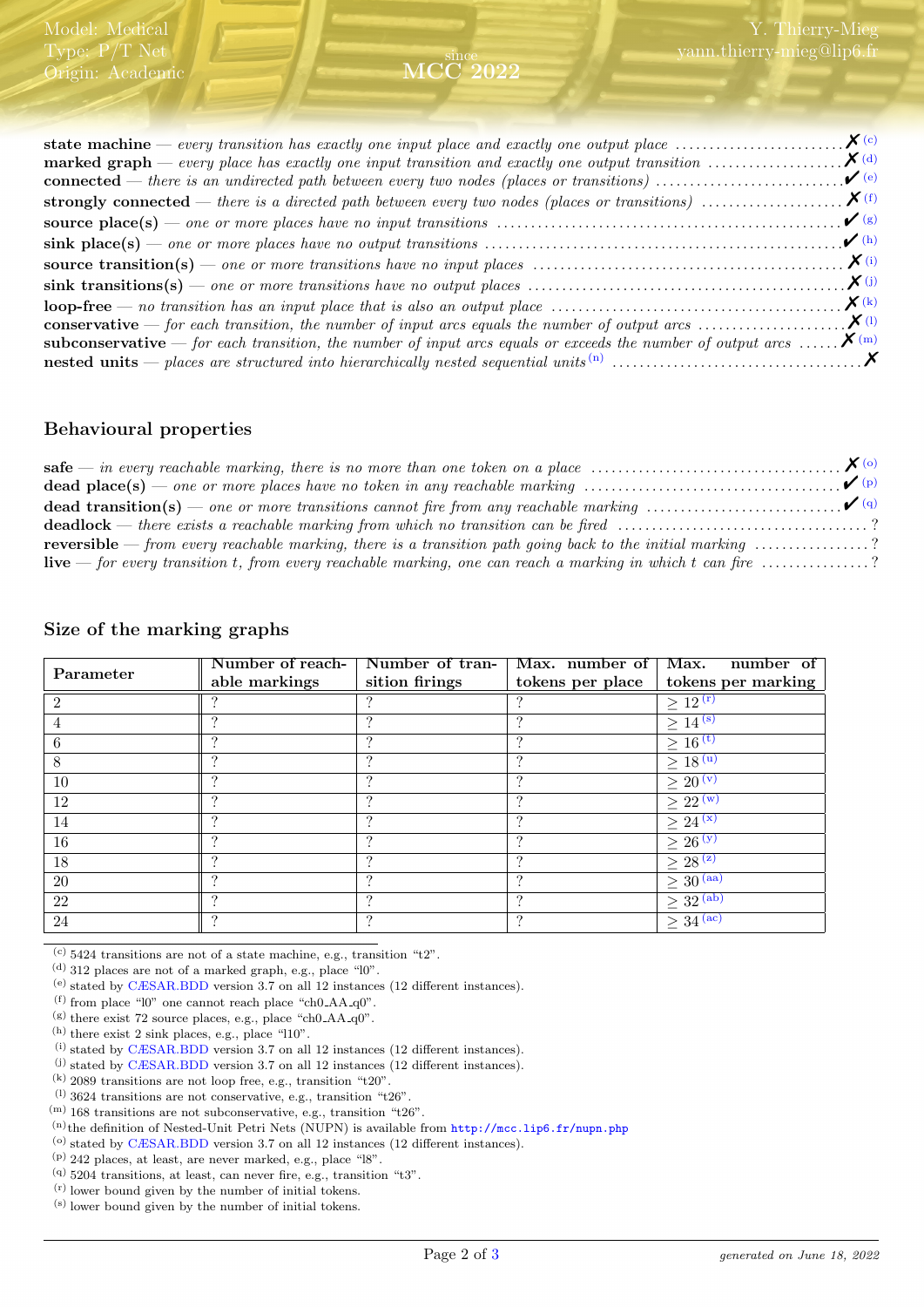| <b>marked graph</b> — every place has exactly one input transition and exactly one output transition $\ldots \ldots \ldots \ldots \mathbf{X}$ <sup>(d)</sup> |                              |
|--------------------------------------------------------------------------------------------------------------------------------------------------------------|------------------------------|
|                                                                                                                                                              | $\bullet$ (e)                |
|                                                                                                                                                              |                              |
|                                                                                                                                                              | $\mathcal{V}(g)$             |
|                                                                                                                                                              | $\mathcal{V}$ <sup>(h)</sup> |
|                                                                                                                                                              |                              |
|                                                                                                                                                              |                              |
|                                                                                                                                                              |                              |
|                                                                                                                                                              |                              |
| <b>subconservative</b> — for each transition, the number of input arcs equals or exceeds the number of output arcs $\mathbf{X}^{(m)}$                        |                              |
|                                                                                                                                                              |                              |
|                                                                                                                                                              |                              |

## Behavioural properties

| <b>dead place(s)</b> — one or more places have no token in any reachable marking $\ldots \ldots \ldots \ldots \ldots \ldots \ldots \ldots \qquad (P)$ |  |
|-------------------------------------------------------------------------------------------------------------------------------------------------------|--|
|                                                                                                                                                       |  |
| <b>deadlock</b> — there exists a reachable marking from which no transition can be fired ?                                                            |  |
| <b>reversible</b> — from every reachable marking, there is a transition path going back to the initial marking $\ldots \ldots \ldots \ldots$ ?        |  |
| <b>live</b> — for every transition t, from every reachable marking, one can reach a marking in which t can fire $\ldots$ ?                            |  |

|  |  |  |  |  | Size of the marking graphs |
|--|--|--|--|--|----------------------------|
|--|--|--|--|--|----------------------------|

|           | Number of reach- | Number of tran- | Max. number of   | number of<br>Max.                    |
|-----------|------------------|-----------------|------------------|--------------------------------------|
| Parameter | able markings    | sition firings  | tokens per place | tokens per marking                   |
|           |                  |                 |                  | $\geq 12^{(r)}$                      |
|           |                  | ച               | $\Omega$         | $\geq 14^{(s)}$                      |
| 6         |                  |                 |                  | $\geq 16^{(t)}$                      |
| 8         |                  | ച               |                  | $\geq 18^{(u)}$                      |
| 10        |                  | ച               | ച                | $\geq$ 20 $(v)$                      |
| 12        |                  | ച               | $\Omega$         | $\geq 22^{(w)}$                      |
| 14        |                  |                 |                  | $\geq 24^{(x)}$                      |
| 16        |                  | ച               |                  | $\geq$ 26 $(y)$                      |
| 18        | $\Omega$         | ച               | $\Omega$         | $\geq 28^{(z)}$                      |
| $20\,$    |                  | ച               | $\Omega$         | $\geq 30^{(aa)}$                     |
| 22        |                  |                 |                  | $\geq$ 32 (ab)                       |
| 24        |                  | ິ               | ച                | $\geq 34^{\overline{(\mathrm{ac})}}$ |

<span id="page-1-0"></span> $(c)$  5424 transitions are not of a state machine, e.g., transition "t2".

<span id="page-1-1"></span> $^{(d)}$  312 places are not of a marked graph, e.g., place " $10$ ".

<span id="page-1-2"></span>(e) stated by [CÆSAR.BDD](http://cadp.inria.fr/man/caesar.bdd.html) version 3.7 on all 12 instances (12 different instances).

<span id="page-1-3"></span> $(f)$  from place "l0" one cannot reach place "ch0\_AA\_q0".

<span id="page-1-4"></span> $($ g) there exist 72 source places, e.g., place "ch0\_AA\_q0".

<span id="page-1-5"></span> $^{\rm (h)}$  there exist 2 sink places, e.g., place "l10".

<span id="page-1-6"></span> $(i)$  stated by [CÆSAR.BDD](http://cadp.inria.fr/man/caesar.bdd.html) version 3.7 on all 12 instances (12 different instances).

<span id="page-1-7"></span>(j) stated by [CÆSAR.BDD](http://cadp.inria.fr/man/caesar.bdd.html) version 3.7 on all 12 instances (12 different instances).

<span id="page-1-8"></span>(k) 2089 transitions are not loop free, e.g., transition "t20".

<span id="page-1-9"></span> $(1)$  3624 transitions are not conservative, e.g., transition "t26".

<span id="page-1-10"></span> $^{(m)}$  168 transitions are not subconservative, e.g., transition "t26".

<span id="page-1-11"></span>(n)the definition of Nested-Unit Petri Nets (NUPN) is available from <http://mcc.lip6.fr/nupn.php>

<span id="page-1-12"></span>(o) stated by [CÆSAR.BDD](http://cadp.inria.fr/man/caesar.bdd.html) version 3.7 on all 12 instances (12 different instances).

<span id="page-1-13"></span>(p) 242 places, at least, are never marked, e.g., place "l8".

<span id="page-1-14"></span>(q) 5204 transitions, at least, can never fire, e.g., transition "t3".

<span id="page-1-15"></span>(r) lower bound given by the number of initial tokens.

(s) lower bound given by the number of initial tokens.